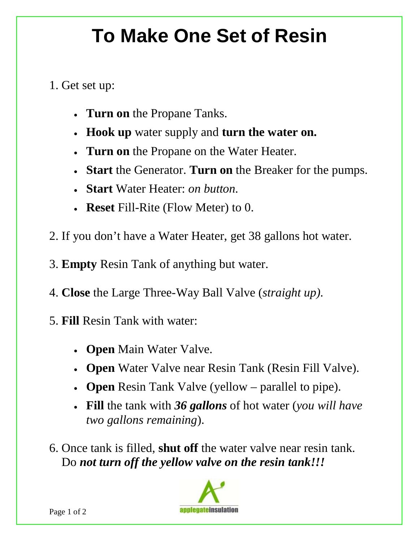## **To Make One Set of Resin**

## 1. Get set up:

- **Turn on** the Propane Tanks.
- **Hook up** water supply and **turn the water on.**
- **Turn on** the Propane on the Water Heater.
- **Start** the Generator. **Turn on** the Breaker for the pumps.
- **Start** Water Heater: *on button.*
- **Reset** Fill-Rite (Flow Meter) to 0.
- 2. If you don't have a Water Heater, get 38 gallons hot water.
- 3. **Empty** Resin Tank of anything but water.
- 4. **Close** the Large Three-Way Ball Valve (*straight up).*
- 5. **Fill** Resin Tank with water:
	- **Open** Main Water Valve.
	- **Open** Water Valve near Resin Tank (Resin Fill Valve).
	- **Open** Resin Tank Valve (yellow parallel to pipe).
	- **Fill** the tank with *36 gallons* of hot water (*you will have two gallons remaining*).

 6. Once tank is filled, **shut off** the water valve near resin tank. Do *not turn off the yellow valve on the resin tank!!!*